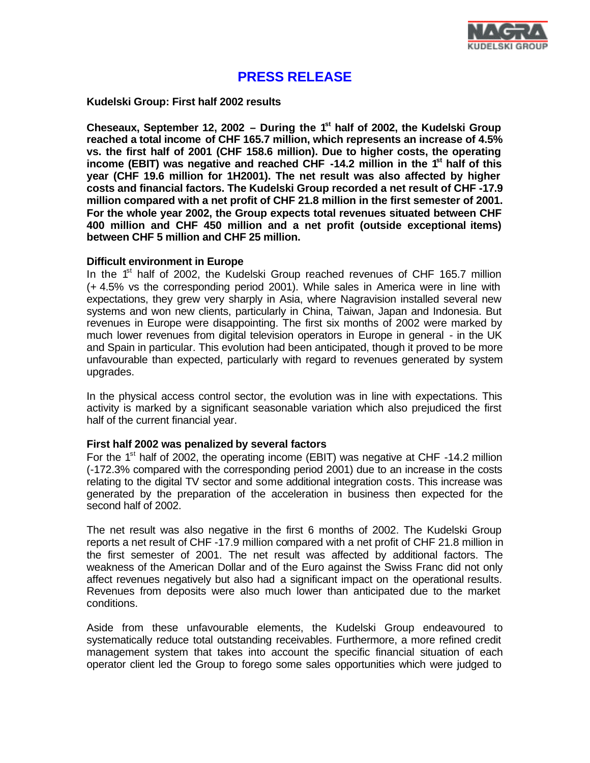

# **PRESS RELEASE**

**Kudelski Group: First half 2002 results**

**Cheseaux, September 12, 2002 – During the 1st half of 2002, the Kudelski Group reached a total income of CHF 165.7 million, which represents an increase of 4.5% vs. the first half of 2001 (CHF 158.6 million). Due to higher costs, the operating income (EBIT) was negative and reached CHF -14.2 million in the 1st half of this year (CHF 19.6 million for 1H2001). The net result was also affected by higher costs and financial factors. The Kudelski Group recorded a net result of CHF -17.9 million compared with a net profit of CHF 21.8 million in the first semester of 2001. For the whole year 2002, the Group expects total revenues situated between CHF 400 million and CHF 450 million and a net profit (outside exceptional items) between CHF 5 million and CHF 25 million.**

### **Difficult environment in Europe**

In the  $1<sup>st</sup>$  half of 2002, the Kudelski Group reached revenues of CHF 165.7 million (+ 4.5% vs the corresponding period 2001). While sales in America were in line with expectations, they grew very sharply in Asia, where Nagravision installed several new systems and won new clients, particularly in China, Taiwan, Japan and Indonesia. But revenues in Europe were disappointing. The first six months of 2002 were marked by much lower revenues from digital television operators in Europe in general - in the UK and Spain in particular. This evolution had been anticipated, though it proved to be more unfavourable than expected, particularly with regard to revenues generated by system upgrades.

In the physical access control sector, the evolution was in line with expectations. This activity is marked by a significant seasonable variation which also prejudiced the first half of the current financial year.

## **First half 2002 was penalized by several factors**

For the  $1<sup>st</sup>$  half of 2002, the operating income (EBIT) was negative at CHF -14.2 million (-172.3% compared with the corresponding period 2001) due to an increase in the costs relating to the digital TV sector and some additional integration costs. This increase was generated by the preparation of the acceleration in business then expected for the second half of 2002.

The net result was also negative in the first 6 months of 2002. The Kudelski Group reports a net result of CHF -17.9 million compared with a net profit of CHF 21.8 million in the first semester of 2001. The net result was affected by additional factors. The weakness of the American Dollar and of the Euro against the Swiss Franc did not only affect revenues negatively but also had a significant impact on the operational results. Revenues from deposits were also much lower than anticipated due to the market conditions.

Aside from these unfavourable elements, the Kudelski Group endeavoured to systematically reduce total outstanding receivables. Furthermore, a more refined credit management system that takes into account the specific financial situation of each operator client led the Group to forego some sales opportunities which were judged to